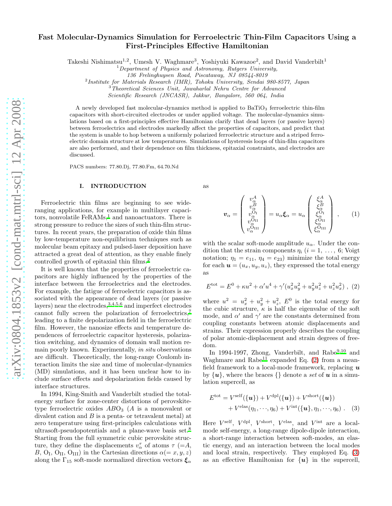# Fast Molecular-Dynamics Simulation for Ferroelectric Thin-Film Capacitors Using a First-Principles Effective Hamiltonian

Takeshi Nishimatsu<sup>1,2</sup>, Umesh V. Waghmare<sup>3</sup>, Yoshiyuki Kawazoe<sup>2</sup>, and David Vanderbilt<sup>1</sup>

 $1$ Department of Physics and Astronomy, Rutgers University,

136 Frelinghuysen Road, Piscataway, NJ 08544-8019

2 Institute for Materials Research (IMR), Tohoku University, Sendai 980-8577, Japan

<sup>3</sup>Theoretical Sciences Unit, Jawaharlal Nehru Centre for Advanced

Scientific Research (JNCASR), Jakkur, Bangalore, 560 064, India

A newly developed fast molecular-dynamics method is applied to  $BaTiO<sub>3</sub>$  ferroelectric thin-film capacitors with short-circuited electrodes or under applied voltage. The molecular-dynamics simulations based on a first-principles effective Hamiltonian clarify that dead layers (or passive layers) between ferroelectrics and electrodes markedly affect the properties of capacitors, and predict that the system is unable to hop between a uniformly polarized ferroelectric structure and a striped ferroelectric domain structure at low temperatures. Simulations of hysteresis loops of thin-film capacitors are also performed, and their dependence on film thickness, epitaxial constraints, and electrodes are discussed.

PACS numbers: 77.80.Dj, 77.80.Fm, 64.70.Nd

# I. INTRODUCTION

Ferroelectric thin films are beginning to see wideranging applications, for example in multilayer capacitors, nonvolatile  $FeRAMs<sup>1</sup>$  $FeRAMs<sup>1</sup>$  $FeRAMs<sup>1</sup>$  and nanoactuators. There is strong pressure to reduce the sizes of such thin-film structures. In recent years, the preparation of oxide thin films by low-temperature non-equilibrium techniques such as molecular beam epitaxy and pulsed-laser deposition have attracted a great deal of attention, as they enable finely controlled growth of epitaxial thin films.<sup>[2](#page-9-1)</sup>

It is well known that the properties of ferroelectric capacitors are highly influenced by the properties of the interface between the ferroelectrics and the electrodes. For example, the fatigue of ferroelectric capacitors is associated with the appearance of dead layers (or passive layers) near the electrodes,  $3,4,5,6$  $3,4,5,6$  $3,4,5,6$  $3,4,5,6$  and imperfect electrodes cannot fully screen the polarization of ferroelectrics[,](#page-9-6)<sup>7</sup> leading to a finite depolarization field in the ferroelectric film. However, the nanosize effects and temperature dependences of ferroelectric capacitor hysteresis, polarization switching, and dynamics of domain wall motion remain poorly known. Experimentally, in situ observations are difficult. Theoretically, the long-range Coulomb interaction limits the size and time of molecular-dynamics (MD) simulations, and it has been unclear how to include surface effects and depolarization fields caused by interface structures.

In 1994, King-Smith and Vanderbilt studied the totalenergy surface for zone-center distortions of perovskitetype ferroelectric oxides  $ABO<sub>3</sub>$  (A is a monovalent or divalent cation and B is a penta- or tetravalent metal) at zero temperature using first-principles calculations with ultrasoft-pseudopotentials and a plane-wave basis set[.](#page-9-7)<sup>8</sup> Starting from the full symmetric cubic perovskite structure, they define the displacements  $v^{\tau}_{\alpha}$  of atoms  $\tau$  (=A, B,  $\text{O}_\text{I}$ ,  $\text{O}_\text{II}$ ,  $\text{O}_\text{III}$ ) in the Cartesian directions  $\alpha (=x, y, z)$ along the  $\Gamma_{15}$  soft-mode normalized direction vectors  $\xi_{\alpha}$ 

as

$$
\boldsymbol{v}_{\alpha} = \begin{pmatrix} v_{\alpha}^{A} \\ v_{\alpha}^{B} \\ v_{\alpha}^{O_{\text{II}}} \\ v_{\alpha}^{O_{\text{III}}} \\ v_{\alpha}^{O_{\text{III}}} \end{pmatrix} = u_{\alpha} \boldsymbol{\xi}_{\alpha} = u_{\alpha} \begin{pmatrix} \xi_{\alpha}^{A} \\ \xi_{\alpha}^{B} \\ \xi_{\alpha}^{O_{\text{II}}} \\ \xi_{\alpha}^{O_{\text{III}}} \\ \xi_{\alpha}^{O_{\text{III}}} \end{pmatrix} , \qquad (1)
$$

with the scalar soft-mode amplitude  $u_{\alpha}$ . Under the condition that the strain components  $\eta_i$   $(i = 1, \ldots, 6; \text{Voigt})$ notation;  $\eta_1 = e_{11}$ ,  $\eta_4 = e_{23}$ ) minimize the total energy for each  $u = (u_x, u_y, u_z)$ , they expressed the total energy as

<span id="page-0-0"></span>
$$
E^{\rm tot} = E^0 + \kappa u^2 + \alpha' u^4 + \gamma' (u_x^2 u_y^2 + u_y^2 u_z^2 + u_z^2 u_x^2) \ , \ (2)
$$

where  $u^2 = u_x^2 + u_y^2 + u_z^2$ ,  $E^0$  is the total energy for the cubic structure,  $\kappa$  is half the eigenvalue of the soft mode, and  $\alpha'$  and  $\gamma'$  are the constants determined from coupling constants between atomic displacements and strains. Their expression properly describes the coupling of polar atomic-displacement and strain degrees of freedom.

In 1994-1997, Zhong, Vand[e](#page-9-8)rbilt, and  $Rabe^{9,10}$  $Rabe^{9,10}$  $Rabe^{9,10}$  and Waghmare and Rabe<sup>[11](#page-9-10)</sup> expanded Eq.  $(2)$  from a meanfield framework to a local-mode framework, replacing  $\boldsymbol{u}$ by  $\{u\}$ , where the braces  $\{\}$  denote a set of u in a simulation supercell, as

<span id="page-0-1"></span>
$$
E^{\text{tot}} = V^{\text{self}}(\{\boldsymbol{u}\}) + V^{\text{dpl}}(\{\boldsymbol{u}\}) + V^{\text{short}}(\{\boldsymbol{u}\})
$$

$$
+ V^{\text{elas}}(\eta_1, \dots, \eta_6) + V^{\text{int}}(\{\boldsymbol{u}\}, \eta_1, \dots, \eta_6) .
$$
 (3)

Here  $V^{\text{self}}$ ,  $V^{\text{dpl}}$ ,  $V^{\text{short}}$ ,  $V^{\text{elas}}$ , and  $V^{\text{int}}$  are a localmode self-energy, a long-range dipole-dipole interaction, a short-range interaction between soft-modes, an elastic energy, and an interaction between the local modes and local strain, respectively. They employed Eq. [\(3\)](#page-0-1) as an effective Hamiltonian for  $\{u\}$  in the supercell,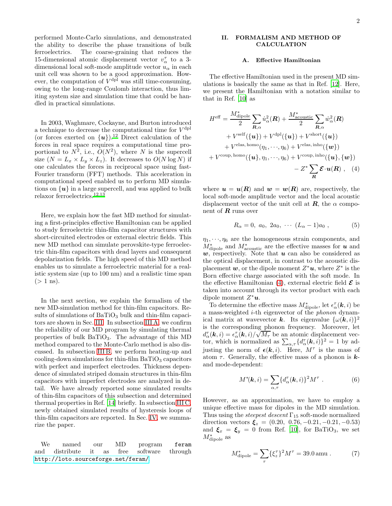performed Monte-Carlo simulations, and demonstrated the ability to describe the phase transitions of bulk ferroelectrics. The coarse-graining that reduces the 15-dimensional atomic displacement vector  $v_\alpha^{\tau}$  to a 3dimensional local soft-mode amplitude vector  $u_{\alpha}$  in each unit cell was shown to be a good approximation. However, the computation of  $V^{\text{dpl}}$  was still time-consuming, owing to the long-range Coulomb interaction, thus limiting system size and simulation time that could be handled in practical simulations.

In 2003, Waghmare, Cockayne, and Burton introduced a technique to decrease the computational time for  $V^{\text{dpl}}$ (or forces exerted on  $\{u\}$ ).<sup>[12](#page-9-11)</sup> Direct calculation of the forces in real space requires a computational time proportional to  $N^2$ , i.e.,  $O(N^2)$ , where N is the supercell size  $(N = L_x \times L_y \times L_z)$ . It decreases to  $O(N \log N)$  if one calculates the forces in reciprocal space using fast-Fourier transform (FFT) methods. This acceleration in computational speed enabled us to perform MD simulations on  $\{u\}$  in a large supercell, and was applied to bulk relaxor ferroelectrics.[12](#page-9-11)[,13](#page-9-12)

Here, we explain how the fast MD method for simulating a first-principles effective Hamiltonian can be applied to study ferroelectric thin-film capacitor structures with short-circuited electrodes or external electric fields. This new MD method can simulate perovskite-type ferroelectric thin-film capacitors with dead layers and consequent depolarization fields. The high speed of this MD method enables us to simulate a ferroelectric material for a realistic system size (up to 100 nm) and a realistic time span  $(> 1 \text{ ns}).$ 

In the next section, we explain the formalism of the new MD-simulation method for thin-film capacitors. Results of simulations of  $BaTiO<sub>3</sub>$  bulk and thin-film capacitors are shown in Sec. [III.](#page-4-0) In subsection [III A,](#page-4-1) we confirm the reliability of our MD program by simulating thermal properties of bulk  $BaTiO<sub>3</sub>$ . The advantage of this MD method compared to the Monte-Carlo method is also discussed. In subsection [III B,](#page-5-0) we perform heating-up and  $\alpha$  cooling-down simulations for thin-film BaTiO<sub>3</sub> capacitors with perfect and imperfect electrodes. Thickness dependence of simulated striped domain structures in thin-film capacitors with imperfect electrodes are analyzed in detail. We have already reported some simulated results of thin-film capacitors of this subsection and determined thermal properties in Ref. [\[14](#page-9-13)] briefly. In subsection [III C,](#page-8-0) newly obtained simulated results of hysteresis loops of thin-film capacitors are reported. In Sec. [IV,](#page-9-14) we summarize the paper.

We named our MD program feram and distribute it as free software through <http://loto.sourceforge.net/feram/>.

# II. FORMALISM AND METHOD OF CALCULATION

#### A. Effective Hamiltonian

The effective Hamiltonian used in the present MD simulations is basically the same as that in Ref. [\[12\]](#page-9-11). Here, we present the Hamiltonian with a notation similar to that in Ref. [\[10\]](#page-9-9) as

$$
H^{\text{eff}} = \frac{M_{\text{dipole}}^{*}}{2} \sum_{\mathbf{R},\alpha} \dot{u}_{\alpha}^{2}(\mathbf{R}) + \frac{M_{\text{acoustic}}^{*}}{2} \sum_{\mathbf{R},\alpha} \dot{w}_{\alpha}^{2}(\mathbf{R})
$$
  
+  $V^{\text{self}}(\{\mathbf{u}\}) + V^{\text{dpl}}(\{\mathbf{u}\}) + V^{\text{short}}(\{\mathbf{u}\})$   
+  $V^{\text{elas, homo}}(\eta_{1}, \dots, \eta_{6}) + V^{\text{elas,inho}}(\{\mathbf{w}\})$   
+  $V^{\text{coup, homo}}(\{\mathbf{u}\}, \eta_{1}, \dots, \eta_{6}) + V^{\text{coup,inho}}(\{\mathbf{u}\}, \{\mathbf{w}\})$   
-  $Z^{*} \sum_{\mathbf{R}} \mathcal{E} \cdot \mathbf{u}(\mathbf{R}) , (4)$ 

where  $u = u(R)$  and  $w = w(R)$  are, respectively, the local soft-mode amplitude vector and the local acoustic displacement vector of the unit cell at  $\mathbf{R}$ , the  $\alpha$  component of  $R$  runs over

<span id="page-1-0"></span>
$$
R_{\alpha} = 0, \ a_0, \ 2a_0, \ \cdots \ (L_{\alpha} - 1)a_0 \ , \tag{5}
$$

 $\eta_1, \dots, \eta_6$  are the homogeneous strain components, and  $M^*_{\text{dipole}}$  and  $M^*_{\text{acoustic}}$  are the effective masses for  $\boldsymbol{u}$  and  $w$ , respectively. Note that  $u$  can also be considered as the optical displacement, in contrast to the acoustic displacement  $w$ , or the dipole moment  $Z^*u$ , where  $Z^*$  is the Born effective charge associated with the soft mode. In the effective Hamiltonian [\(4\)](#page-1-0), external electric field  $\mathcal E$  is taken into account through its vector product with each dipole moment  $Z^*u$ .

To determine the effective mass  $M^*_{\text{dipole}}$ , let  $\epsilon_\alpha^\tau(\mathbf{k}, i)$  be a mass-weighted i-th eigenvector of the phonon dynamical matrix at wavevector **k**. Its eigenvalue  $\{\omega(\mathbf{k}, i)\}^2$ is the corresponding phonon frequency. Moreover, let  $d_{\alpha}^{\tau}(\mathbf{k},i) = \epsilon_{\alpha}^{\tau}(\mathbf{k},i)/\sqrt{M_{\tau}}$  be an atomic displacement vector, which is normalized as  $\sum_{\alpha,\tau} {\{d_{\alpha}^{\tau}(\mathbf{k},i)\}}^2 = 1$  by adjusting the norm of  $\epsilon(k, i)$ . Here,  $M^{\tau}$  is the mass of atom  $\tau$ . Generally, the effective mass of a phonon is **k**and mode-dependent:

$$
M^*(\mathbf{k}, i) = \sum_{\alpha, \tau} \{d_{\alpha}^{\tau}(\mathbf{k}, i)\}^2 M^{\tau} . \tag{6}
$$

However, as an approximation, we have to employ a unique effective mass for dipoles in the MD simulation. Thus using the *steepest descent*  $\Gamma_{15}$  soft-mode normalized direction vectors  $\xi_z = (0.20, 0.76, -0.21, -0.21, -0.53)$ and  $\xi_x = \xi_y = 0$  from Ref. [\[10](#page-9-9)], for BaTiO<sub>3</sub>, we set  $M^*_{\text{dipole}}$  as

$$
M_{\text{dipole}}^* = \sum_{\tau} {\{\xi_z^{\tau}\}}^2 M^{\tau} = 39.0 \text{ amu} . \tag{7}
$$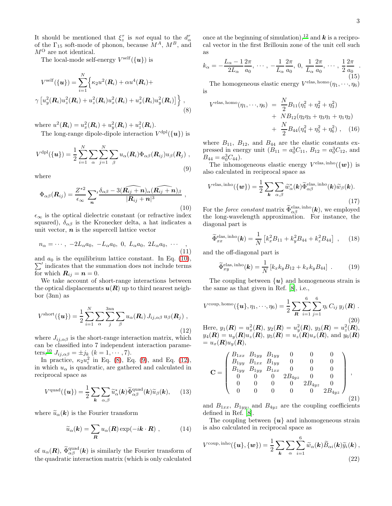It should be mentioned that  $\xi_z^{\tau}$  is *not* equal to the  $d_{\alpha}^{\tau}$ of the  $\Gamma_{15}$  soft-mode of phonon, because  $M^A$ ,  $M^B$ , and  $M^O$  are not identical.

The local-mode self-energy  $V^{\text{self}}(\{\boldsymbol{u}\})$  is

$$
V^{\text{self}}(\{\mathbf{u}\}) = \sum_{i=1}^{N} \left\{ \kappa_2 u^2(\mathbf{R}_i) + \alpha u^4(\mathbf{R}_i) + \\ \gamma \left[ u_y^2(\mathbf{R}_i) u_z^2(\mathbf{R}_i) + u_z^2(\mathbf{R}_i) u_x^2(\mathbf{R}_i) + u_x^2(\mathbf{R}_i) u_y^2(\mathbf{R}_i) \right] \right\},
$$
\n(8)

where  $u^2(\mathbf{R}_i) = u_x^2(\mathbf{R}_i) + u_y^2(\mathbf{R}_i) + u_z^2(\mathbf{R}_i)$ . The long-range dipole-dipole interaction  $V^{\text{dpl}}(\{\boldsymbol{u}\})$  is

<span id="page-2-2"></span>
$$
V^{\text{dpl}}(\{\boldsymbol{u}\}) = \frac{1}{2} \sum_{i=1}^{N} \sum_{\alpha} \sum_{j=1}^{N} \sum_{\beta} u_{\alpha}(\boldsymbol{R}_{i}) \Phi_{\alpha\beta}(\boldsymbol{R}_{ij}) u_{\beta}(\boldsymbol{R}_{j}),
$$
\n(9)

where

<span id="page-2-0"></span>
$$
\Phi_{\alpha\beta}(\boldsymbol{R}_{ij}) = \frac{Z^{*2}}{\epsilon_{\infty}} \sum_{\boldsymbol{n}}' \frac{\delta_{\alpha\beta} - 3(\widehat{\boldsymbol{R}_{ij} + \boldsymbol{n}})_{\alpha} (\widehat{\boldsymbol{R}_{ij} + \boldsymbol{n}})_{\beta}}{|\boldsymbol{R}_{ij} + \boldsymbol{n}|^3} ,
$$
\n(10)

 $\epsilon_{\infty}$  is the optical dielectric constant (or refractive index squared),  $\delta_{\alpha\beta}$  is the Kronecker delta, a hat indicates a unit vector,  $n$  is the supercell lattice vector

$$
n_{\alpha} = \cdots, -2L_{\alpha}a_0, -L_{\alpha}a_0, 0, L_{\alpha}a_0, 2L_{\alpha}a_0, \cdots,
$$
\n(11)

 $\sum'$  indicates that the summation does not include terms and  $a_0$  is the equilibrium lattice constant. In Eq. [\(10\)](#page-2-0), for which  $\boldsymbol{R}_{ij} = \boldsymbol{n} = 0$ .

We take account of short-range interactions between the optical displacements  $u(R)$  up to third nearest neighbor (3nn) as

<span id="page-2-3"></span>
$$
V^{\text{short}}(\{\boldsymbol{u}\}) = \frac{1}{2} \sum_{i=1}^{N} \sum_{\alpha} \sum_{j}^{3\text{nn}} \sum_{\beta} u_{\alpha}(\boldsymbol{R}_{i}) J_{ij,\alpha\beta} u_{\beta}(\boldsymbol{R}_{j}),
$$
\n(12)

where  $J_{ij,\alpha\beta}$  is the short-range interaction matrix, which can be classified into 7 independent interaction parame-ters[,](#page-9-9)<sup>10</sup>  $J_{ij,\alpha\beta} = \pm j_k \ (k = 1, \cdots, 7).$ 

In practice,  $\kappa_2 u_i^2$  in Eq. [\(8\)](#page-2-1), Eq. [\(9\)](#page-2-2), and Eq. [\(12\)](#page-2-3), in which  $u_{\alpha}$  is quadratic, are gathered and calculated in reciprocal space as

<span id="page-2-4"></span>
$$
V^{\text{quad}}(\{\boldsymbol{u}\}) = \frac{1}{2} \sum_{\boldsymbol{k}} \sum_{\alpha,\beta} \widetilde{u}_{\alpha}^{\ast}(\boldsymbol{k}) \widetilde{\Phi}_{\alpha\beta}^{\text{quad}}(\boldsymbol{k}) \widetilde{u}_{\beta}(\boldsymbol{k}), \quad (13)
$$

where  $\tilde{u}_{\alpha}(\mathbf{k})$  is the Fourier transform

$$
\widetilde{u}_{\alpha}(\boldsymbol{k}) = \sum_{\boldsymbol{R}} u_{\alpha}(\boldsymbol{R}) \exp(-i\boldsymbol{k} \cdot \boldsymbol{R}) , \qquad (14)
$$

of  $u_{\alpha}(\mathbf{R})$ ,  $\widetilde{\Phi}^{\text{quad}}_{\alpha\beta}(\mathbf{k})$  is similarly the Fourier transform of the quadratic interaction matrix (which is only calculated once at the beginning of simulation),<sup>[12](#page-9-11)</sup> and **k** is a reciprocal vector in the first Brillouin zone of the unit cell such as

$$
k_{\alpha} = -\frac{L_{\alpha} - 1}{2L_{\alpha}} \frac{2\pi}{a_0}, \cdots, -\frac{1}{L_{\alpha}} \frac{2\pi}{a_0}, 0, \frac{1}{L_{\alpha}} \frac{2\pi}{a_0}, \cdots, \frac{1}{2} \frac{2\pi}{a_0}.
$$
\n(15)

The homogeneous elastic energy  $V^{\text{elas, homo}}(\eta_1, \dots, \eta_6)$ is

<span id="page-2-1"></span>
$$
Velas, homo(\eta_1, \dots, \eta_6) = \frac{N}{2} B_{11} (\eta_1^2 + \eta_2^2 + \eta_3^2)
$$
  
+ 
$$
NB_{12} (\eta_2 \eta_3 + \eta_3 \eta_1 + \eta_1 \eta_2)
$$
  
+ 
$$
\frac{N}{2} B_{44} (\eta_4^2 + \eta_5^2 + \eta_6^2) , \quad (16)
$$

where  $B_{11}$ ,  $B_{12}$ , and  $B_{44}$  are the elastic constants expressed in energy unit  $(B_{11} = a_0^3 C_{11}, B_{12} = a_0^3 C_{12}$ , and  $B_{44} = a_0^3 C_{44}$ .

The inhomogeneous elastic energy  $V^{\text{elas}, \text{inho}}(\{\boldsymbol{w}\})$  is also calculated in reciprocal space as

$$
V^{\text{elas, inho}}(\{\boldsymbol{w}\}) = \frac{1}{2} \sum_{\boldsymbol{k}} \sum_{\alpha,\beta} \widetilde{w}_{\alpha}^{\ast}(\boldsymbol{k}) \widetilde{\Phi}_{\alpha\beta}^{\text{elas, inho}}(\boldsymbol{k}) \widetilde{w}_{\beta}(\boldsymbol{k}).
$$
\n(17)

For the *force constant* matrix  $\widetilde{\Phi}_{\alpha\beta}^{\text{elas, inho}}(\mathbf{k})$ , we employed the long-wavelength approximation. For instance, the diagonal part is

$$
\widetilde{\Phi}_{xx}^{\text{elas, inho}}(\mathbf{k}) = \frac{1}{N} \left[ k_x^2 B_{11} + k_y^2 B_{44} + k_z^2 B_{44} \right] , \quad (18)
$$

and the off-diagonal part is

$$
\widetilde{\Phi}_{xy}^{\text{elas, inho}}(\boldsymbol{k}) = \frac{1}{N} \left[ k_x k_y B_{12} + k_x k_y B_{44} \right] \ . \tag{19}
$$

The coupling between  $\{u\}$  and homogeneous strain is the same as that given in Ref. [\[8](#page-9-7)], i.e.,

$$
V^{\text{coup, homo}}(\{\boldsymbol{u}\}, \eta_1, \cdots, \eta_6) = \frac{1}{2} \sum_{\boldsymbol{R}} \sum_{i=1}^{6} \sum_{j=1}^{6} \eta_i C_{ij} y_j(\boldsymbol{R}) .
$$
\n(20)

Here,  $y_1(\mathbf{R}) = u_x^2(\mathbf{R}), y_2(\mathbf{R}) = u_y^2(\mathbf{R}), y_3(\mathbf{R}) = u_z^2(\mathbf{R}),$  $y_4(R) = u_y(R)u_z(R)$ ,  $y_5(R) = u_z(R)u_x(R)$ , and  $y_6(R)$  $= u_x(\mathbf{R})u_y(\mathbf{R}),$ 

$$
\mathbf{C} = \begin{pmatrix} B_{1xx} & B_{1yy} & B_{1yy} & 0 & 0 & 0 \\ B_{1yy} & B_{1xx} & B_{1yy} & 0 & 0 & 0 \\ B_{1yy} & B_{1yy} & B_{1xx} & 0 & 0 & 0 \\ 0 & 0 & 0 & 2B_{4yz} & 0 & 0 \\ 0 & 0 & 0 & 0 & 2B_{4yz} & 0 \\ 0 & 0 & 0 & 0 & 0 & 2B_{4yz} \end{pmatrix},
$$
\n
$$
(21)
$$

and  $B_{1xx}$ ,  $B_{1yy}$ , and  $B_{4yz}$  are the coupling coefficients defined in Ref. [\[8\]](#page-9-7).

The coupling between  $\{u\}$  and inhomogeneous strain is also calculated in reciprocal space as

$$
V^{\text{coup}, \text{inho}}(\{\bm{u}\}, \{\bm{w}\}) = \frac{1}{2} \sum_{\bm{k}} \sum_{\alpha} \sum_{i=1}^{6} \widetilde{w}_{\alpha}(\bm{k}) \widetilde{B}_{\alpha i}(\bm{k}) \widetilde{y}_i(\bm{k}),
$$
\n(22)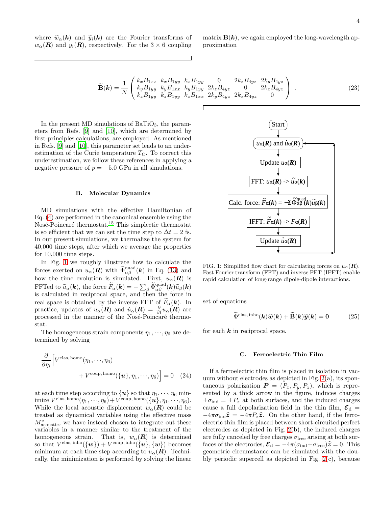where  $\widetilde{w}_{\alpha}(\mathbf{k})$  and  $\widetilde{y}_i(\mathbf{k})$  are the Fourier transforms of  $w_{\alpha}(\mathbf{R})$  and  $y_i(\mathbf{R})$ , respectively. For the  $3 \times 6$  coupling

matrix  $B(k)$ , we again employed the long-wavelength approximation

$$
\widetilde{\mathbf{B}}(\mathbf{k}) = \frac{1}{N} \begin{pmatrix} k_x B_{1xx} & k_x B_{1yy} & k_x B_{1yy} & 0 & 2k_z B_{4yz} & 2k_y B_{4yz} \\ k_y B_{1yy} & k_y B_{1xx} & k_y B_{1yy} & 2k_z B_{4yz} & 0 & 2k_x B_{4yz} \\ k_z B_{1yy} & k_z B_{1yy} & k_z B_{1xx} & 2k_y B_{4yz} & 2k_x B_{4yz} & 0 \end{pmatrix} . \tag{23}
$$

In the present MD simulations of  $BaTiO<sub>3</sub>$ , the parameters from Refs. [\[9](#page-9-8)] and [\[10\]](#page-9-9), which are determined by first-principles calculations, are employed. As mentioned in Refs. [\[9\]](#page-9-8) and [\[10\]](#page-9-9), this parameter set leads to an underestimation of the Curie temperature  $T_{\text{C}}$ . To correct this underestimation, we follow these references in applying a negative pressure of  $p = -5.0$  GPa in all simulations.

#### B. Molecular Dynamics

MD simulations with the effective Hamiltonian of Eq. [\(4\)](#page-1-0) are performed in the canonical ensemble using the Nosé-Poincaré thermostat.<sup>[15](#page-9-15)</sup> This simplectic thermostat is so efficient that we can set the time step to  $\Delta t = 2$  fs. In our present simulations, we thermalize the system for 40,000 time steps, after which we average the properties for 10,000 time steps.

In Fig. [1](#page-3-0) we roughly illustrate how to calculate the forces exerted on  $u_{\alpha}(\mathbf{R})$  with  $\widetilde{\Phi}^{\text{quad}}_{\alpha\beta}(\mathbf{k})$  in Eq. [\(13\)](#page-2-4) and how the time evolution is simulated. First,  $u_{\alpha}(\mathbf{R})$  is FFTed to  $\widetilde{u}_{\alpha}(\boldsymbol{k})$ , the force  $\widetilde{F}_{\alpha}(\boldsymbol{k}) = -\sum_{\beta} \widetilde{\Phi}^{\text{quad}}_{\alpha\beta}(\boldsymbol{k}) \widetilde{u}_{\beta}(\boldsymbol{k})$ is calculated in reciprocal space, and then the force in real space is obtained by the inverse FFT of  $\tilde{F}_{\alpha}(\boldsymbol{k})$ . In practice, updates of  $u_{\alpha}(\mathbf{R})$  and  $\dot{u}_{\alpha}(\mathbf{R}) = \frac{\partial}{\partial t} u_{\alpha}(\mathbf{R})$  are processed in the manner of the Nosé-Poincaré thermostat.

The homogeneous strain components  $\eta_1, \dots, \eta_6$  are determined by solving

$$
\frac{\partial}{\partial \eta_i} \Big[ V^{\text{elas, homo}}(\eta_1, \cdots, \eta_6) + V^{\text{coup, homo}}(\{\boldsymbol{u}\}, \eta_1, \cdots, \eta_6) \Big] = 0 \quad (24)
$$

at each time step according to  $\{u\}$  so that  $\eta_1, \dots, \eta_6$  minimize  $V^{\text{elas, homo}}(\eta_1, \dots, \eta_6) + V^{\text{coup, homo}}(\{\boldsymbol{u}\}, \eta_1, \dots, \eta_6).$ While the local acoustic displacement  $w_{\alpha}(\mathbf{R})$  could be treated as dynamical variables using the effective mass  $M^*_{\text{acoustic}}$ , we have instead chosen to integrate out these variables in a manner similar to the treatment of the homogeneous strain. That is,  $w_{\alpha}(\mathbf{R})$  is determined so that  $V^{\text{elas}, \text{inho}}(\{\bm{w}\}) + V^{\text{coup}, \text{inho}}(\{\bm{u}\}, \{\bm{w}\})$  becomes minimum at each time step according to  $u_{\alpha}(\mathbf{R})$ . Technically, the minimization is performed by solving the linear



<span id="page-3-0"></span>FIG. 1: Simplified flow chart for calculating forces on  $u_{\alpha}(\mathbf{R})$ . Fast Fourier transform (FFT) and inverse FFT (IFFT) enable rapid calculation of long-range dipole-dipole interactions.

set of equations

$$
\widetilde{\Phi}^{\text{elas, inho}}(\boldsymbol{k})\widetilde{\boldsymbol{w}}(\boldsymbol{k}) + \widetilde{\mathbf{B}}(\boldsymbol{k})\widetilde{\boldsymbol{y}}(\boldsymbol{k}) = \mathbf{0} \tag{25}
$$

for each  $k$  in reciprocal space.

### C. Ferroelectric Thin Film

If a ferroelectric thin film is placed in isolation in vacuum without electrodes as depicted in Fig. [2\(](#page-4-2)a), its spontaneous polarization  $P = (P_x, P_y, P_z)$ , which is represented by a thick arrow in the figure, induces charges  $\pm \sigma_{\text{ind}} = \pm P_z$  at both surfaces, and the induced charges cause a full depolarization field in the thin film,  $\mathcal{E}_{d} =$  $-4\pi\sigma_{\rm ind}\hat{\mathbf{z}} = -4\pi P_z\hat{\mathbf{z}}$ . On the other hand, if the ferroelectric thin film is placed between short-circuited perfect electrodes as depicted in Fig. [2\(](#page-4-2)b), the induced charges are fully canceled by free charges  $\sigma_{\text{free}}$  arising at both surfaces of the electrodes,  $\mathcal{E}_{\rm d} = -4\pi(\sigma_{\rm ind}+\sigma_{\rm free})\hat{\mathcal{Z}} = 0$ . This geometric circumstance can be simulated with the doubly periodic supercell as depicted in Fig. [2\(](#page-4-2)c), because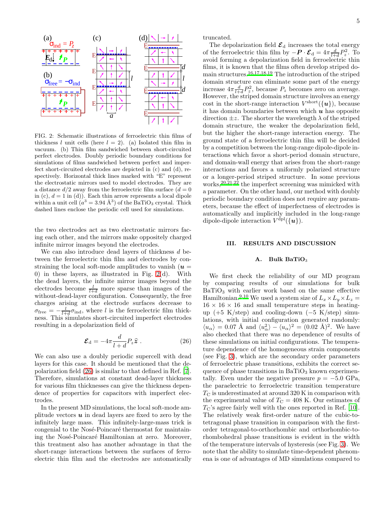

<span id="page-4-2"></span>FIG. 2: Schematic illustrations of ferroelectric thin films of thickness l unit cells (here  $l = 2$ ). (a) Isolated thin film in vacuum. (b) Thin film sandwiched between short-circuited perfect electrodes. Doubly periodic boundary conditions for simulations of films sandwiched between perfect and imperfect short-circuited electrodes are depicted in (c) and (d), respectively. Horizontal thick lines marked with "E" represent the electrostatic mirrors used to model electrodes. They are a distance  $d/2$  away from the ferroelectric film surface  $(d = 0)$ in (c),  $d = 1$  in (d)). Each thin arrow represents a local dipole within a unit cell  $(a^3 = 3.94 \text{ Å}^3)$  of the BaTiO<sub>3</sub> crystal. Thick dashed lines enclose the periodic cell used for simulations.

the two electrodes act as two electrostatic mirrors facing each other, and the mirrors make oppositely charged infinite mirror images beyond the electrodes.

We can also introduce dead layers of thickness  $d$  between the ferroelectric thin film and electrodes by constraining the local soft-mode amplitudes to vanish  $(u =$ 0) in these layers, as illustrated in Fig. [2\(](#page-4-2)d). With the dead layers, the infinite mirror images beyond the electrodes become  $\frac{l}{l+d}$  more sparse than images of the without-dead-layer configuration. Consequently, the free charges arising at the electrode surfaces decrease to  $\sigma_{\text{free}} = -\frac{l}{l+d}\sigma_{\text{ind}}$ , where l is the ferroelectric film thickness. This simulates short-circuited imperfect electrodes resulting in a depolarization field of

<span id="page-4-3"></span>
$$
\mathcal{E}_{\rm d} = -4\pi \frac{d}{l+d} P_z \hat{\mathbf{z}} \ . \tag{26}
$$

We can also use a doubly periodic supercell with dead layers for this case. It should be mentioned that the depolarization field [\(26\)](#page-4-3) is similar to that defined in Ref. [\[7\]](#page-9-6). Therefore, simulations at constant dead-layer thickness for various film thicknesses can give the thickness dependence of properties for capacitors with imperfect electrodes.

In the present MD simulations, the local soft-mode amplitude vectors  $\boldsymbol{u}$  in dead layers are fixed to zero by the infinitely large mass. This infinitely-large-mass trick is congenial to the Nosé-Poincaré thermostat for maintaining the Nosé-Poincaré Hamiltonian at zero. Moreover, this treatment also has another advantage in that the short-range interactions between the surfaces of ferroelectric thin film and the electrodes are automatically

truncated.

The depolarization field  $\mathcal{E}_{d}$  increases the total energy of the ferroelectric thin film by  $-\boldsymbol{P} \cdot \boldsymbol{\mathcal{E}}_{d} = 4\pi \frac{d}{l+d} P_z^2$ . To avoid forming a depolarization field in ferroelectric thin films, it is known that the films often develop striped domain structures.[16](#page-9-16)[,17](#page-9-17)[,18](#page-9-18)[,19](#page-9-19) The introduction of the striped domain structure can eliminate some part of the energy increase  $4\pi \frac{d}{l+d}P_z^2$ , because  $P_z$  becomes zero on average. However, the striped domain structure involves an energy cost in the short-range interaction  $V^{\text{short}}(\{\boldsymbol{u}\})$ , because it has domain boundaries between which  $\boldsymbol{u}$  has opposite direction  $\pm z$ . The shorter the wavelength  $\lambda$  of the striped domain structure, the weaker the depolarization field, but the higher the short-range interaction energy. The ground state of a ferroelectric thin film will be decided by a competition between the long-range dipole-dipole interactions which favor a short-period domain structure, and domain-wall energy that arises from the short-range interactions and favors a uniformly polarized structure or a longer-period striped structure. In some previous works,<sup>[20](#page-9-20)[,21](#page-9-21)[,22](#page-9-22)</sup> the imperfect screening was mimicked with a parameter. On the other hand, our method with doubly periodic boundary condition does not require any parameters, because the effect of imperfectness of electrodes is automatically and implicitly included in the long-range dipole-dipole interaction  $V^{\text{dpl}}(\{\boldsymbol{u}\}).$ 

## <span id="page-4-0"></span>III. RESULTS AND DISCUSSION

# <span id="page-4-1"></span>A. Bulk BaTiO<sub>3</sub>

We first check the reliability of our MD program by comparing results of our simulations for bulk  $BaTiO<sub>3</sub>$  with earlier work based on the same effective Hamiltonian.<sup>[9](#page-9-8)[,10](#page-9-9)</sup> We used a system size of  $L_x \times L_y \times L_z =$  $16 \times 16 \times 16$  and small temperature steps in heatingup (+5 K/step) and cooling-down (−5 K/step) simulations, with initial configuration generated randomly:  $\langle u_{\alpha} \rangle = 0.07 \text{ Å} \text{ and } \langle u_{\alpha}^2 \rangle - \langle u_{\alpha} \rangle^2 = (0.02 \text{ Å})^2. \text{ We have}$ also checked that there was no dependence of results of these simulations on initial configurations. The temperature dependence of the homogeneous strain components (see Fig. [3\)](#page-5-1), which are the secondary order parameters of ferroelectric phase transitions, exhibits the correct sequence of phase transitions in  $BaTiO<sub>3</sub>$  known experimentally. Even under the negative pressure  $p = -5.0 \text{ GPa}$ , the paraelectric to ferroelectric transition temperature  $T_{\rm C}$  is underestimated at around 320 K in comparison with the experimental value of  $T_{\rm C} = 408$  K. Our estimates of  $T_{\rm C}$ 's agree fairly well with the ones reported in Ref. [\[10\]](#page-9-9). The relatively weak first-order nature of the cubic-totetragonal phase transition in comparison with the firstorder tetragonal-to-orthorhombic and orthorhombic-torhombohedral phase transitions is evident in the width of the temperature intervals of hysteresis (see Fig. [3\)](#page-5-1). We note that the ability to simulate time-dependent phenomena is one of advantages of MD simulations compared to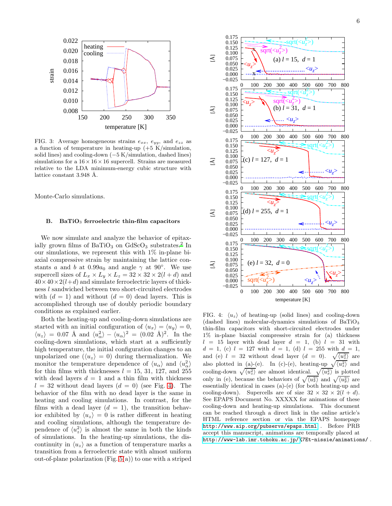

<span id="page-5-1"></span>FIG. 3: Average homogeneous strains  $e_{xx}$ ,  $e_{yy}$ , and  $e_{zz}$  as a function of temperature in heating-up  $(+5 \text{ K/simulation})$ , solid lines) and cooling-down (−5 K/simulation, dashed lines) simulations for a  $16 \times 16 \times 16$  supercell. Strains are measured relative to the LDA minimum-energy cubic structure with lattice constant 3.948 Å.

Monte-Carlo simulations.

## <span id="page-5-0"></span>B. BaTiO<sub>3</sub> ferroelectric thin-film capacitors

We now simulate and analyze the behavior of epitaxially grown films of  $BaTiO<sub>3</sub>$  on  $GdScO<sub>3</sub>$  substrates[.](#page-9-1)<sup>2</sup> In our simulations, we represent this with  $1\%$  in-plane biaxial compressive strain by maintaining the lattice constants a and b at  $0.99a_0$  and angle  $\gamma$  at 90°. We use supercell sizes of  $L_x \times L_y \times L_z = 32 \times 32 \times 2(l + d)$  and  $40 \times 40 \times 2(l+d)$  and simulate ferroelectric layers of thickness l sandwiched between two short-circuited electrodes with  $(d = 1)$  and without  $(d = 0)$  dead layers. This is accomplished through use of doubly periodic boundary conditions as explained earlier.

Both the heating-up and cooling-down simulations are started with an initial configuration of  $\langle u_x \rangle = \langle u_y \rangle = 0$ ,  $\langle u_z \rangle = 0.07$  Å and  $\langle u_\alpha^2 \rangle - \langle u_\alpha \rangle^2 = (0.02 \text{ Å})^2$ . In the cooling-down simulations, which start at a sufficiently high temperature, the initial configuration changes to an unpolarized one  $(\langle u_z \rangle = 0)$  during thermalization. We monitor the temperature dependence of  $\langle u_{\alpha} \rangle$  and  $\langle u_{\alpha}^2 \rangle$ for thin films with thicknesses  $l = 15, 31, 127,$  and 255 with dead layers  $d = 1$  and a thin film with thickness  $l = 32$  without dead layers  $(d = 0)$  (see Fig. [4\)](#page-5-2). The behavior of the film with no dead layer is the same in heating and cooling simulations. In contrast, for the films with a dead layer  $(d = 1)$ , the transition behavior exhibited by  $\langle u_z \rangle = 0$  is rather different in heating and cooling simulations, although the temperature dependence of  $\langle u_z^2 \rangle$  is almost the same in both the kinds of simulations. In the heating-up simulations, the discontinuity in  $\langle u_z \rangle$  as a function of temperature marks a transition from a ferroelectric state with almost uniform out-of-plane polarization (Fig.  $5(a)$ ) to one with a striped



<span id="page-5-2"></span>FIG. 4:  $\langle u_z \rangle$  of heating-up (solid lines) and cooling-down  $(dashed lines)$  molecular-dynamics simulations of BaTiO<sub>3</sub> thin-film capacitors with short-circuited electrodes under 1% in-plane biaxial compressive strain for (a) thickness  $l = 15$  layer with dead layer  $d = 1$ , (b)  $l = 31$  with  $d = 1$ , (c)  $l = 127$  with  $d = 1$ , (d)  $l = 255$  with  $d = 1$ , and (e)  $l = 32$  without dead layer  $(d = 0)$ .  $\sqrt{\langle u_z^2 \rangle}$  are also plotted in  $(a)-(e)$ . In (c)-(e), heating-up  $\sqrt{\langle u_z^2 \rangle}$  and cooling-down  $\sqrt{\langle u_z^2 \rangle}$  are almost identical.  $\sqrt{\langle u_x^2 \rangle}$  is plotted only in (e), because the behaviors of  $\sqrt{\langle u_x^2 \rangle}$  and  $\sqrt{\langle u_y^2 \rangle}$  are essentially identical in cases (a)-(e) (for both heating-up and cooling-down). Supercells are of size  $32 \times 32 \times 2(l + d)$ . See EPAPS Document No. XXXXX for animations of these cooling-down and heating-up simulations. This document can be reached through a direct link in the online article's HTML reference section or via the EPAPS homepage <http://www.aip.org/pubservs/epaps.html> . Before PRB accept this manuscript, animations are temporally placed at [http://www-lab.imr.tohoku.ac.jp/%](http://www-lab.imr.tohoku.ac.jp/)7Et-nissie/animations/ .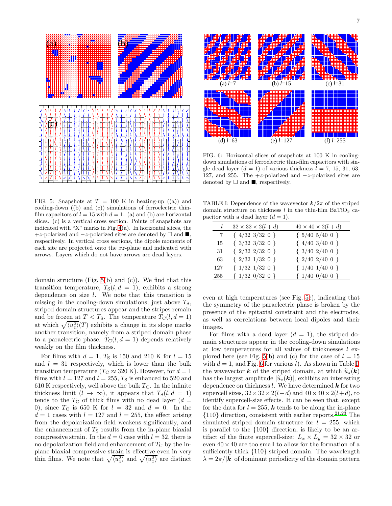

<span id="page-6-0"></span>FIG. 5: Snapshots at  $T = 100$  K in heating-up ((a)) and cooling-down ((b) and (c)) simulations of ferroelectric thinfilm capacitors of  $l = 15$  with  $d = 1$ . (a) and (b) are horizontal slices. (c) is a vertical cross section. Points of snapshots are indicated with "X" marks in Fig. [4\(](#page-5-2)a). In horizontal slices, the +z-polarized and  $-z$ -polarized sites are denoted by  $\Box$  and  $\blacksquare$ . respectively. In vertical cross sections, the dipole moments of each site are projected onto the xz-plane and indicated with arrows. Layers which do not have arrows are dead layers.

domain structure (Fig. [5\(](#page-6-0)b) and (c)). We find that this transition temperature,  $T_S(l, d = 1)$ , exhibits a strong dependence on size l. We note that this transition is missing in the cooling-down simulations; just above  $T_s$ , striped domain structures appear and the stripes remain and be frozen at  $T < T_S$ . The temperature  $T_C(l, d = 1)$ at which  $\sqrt{\langle u_z^2 \rangle}(T)$  exhibits a change in its slope marks another transition, namely from a striped domain phase to a paraelectric phase.  $T_{\text{C}}(l, d = 1)$  depends relatively weakly on the film thickness.

For films with  $d = 1$ ,  $T<sub>S</sub>$  is 150 and 210 K for  $l = 15$ and  $l = 31$  respectively, which is lower than the bulk transition temperature ( $T_C \approx 320$  K). However, for  $d = 1$ films with  $l = 127$  and  $l = 255$ ,  $T<sub>S</sub>$  is enhanced to 520 and 610 K respectively, well above the bulk  $T_{\rm C}$ . In the infinite thickness limit  $(l \to \infty)$ , it appears that  $T_S(l, d = 1)$ tends to the  $T_{\rm C}$  of thick films with no dead layer ( $d =$ 0), since  $T_{\rm C}$  is 650 K for  $l = 32$  and  $d = 0$ . In the  $d = 1$  cases with  $l = 127$  and  $l = 255$ , the effect arising from the depolarization field weakens significantly, and the enhancement of  $T<sub>S</sub>$  results from the in-plane biaxial compressive strain. In the  $d = 0$  case with  $l = 32$ , there is no depolarization field and enhancement of  $T_{\rm C}$  by the inplane biaxial compressive strain is effective even in very thin films. We note that  $\sqrt{\langle u_z^2 \rangle}$  and  $\sqrt{\langle u_x^2 \rangle}$  are distinct



<span id="page-6-1"></span>FIG. 6: Horizontal slices of snapshots at 100 K in coolingdown simulations of ferroelectric thin-film capacitors with single dead layer  $(d = 1)$  of various thickness  $l = 7, 15, 31, 63,$ 127, and 255. The  $+z$ -polarized and  $-z$ -polarized sites are denoted by  $\square$  and  $\blacksquare$ , respectively.

TABLE I: Dependence of the wavevector  $k/2\pi$  of the striped domain structure on thickness  $l$  in the thin-film BaTiO<sub>3</sub> capacitor with a dead layer  $(d = 1)$ .

<span id="page-6-2"></span>

|     | $32 \times 32 \times 2(l+d)$ | $40 \times 40 \times 2(l+d)$ |
|-----|------------------------------|------------------------------|
| 7   | $\{4/32\}3/32\}$             | $\{5/40, 5/40, 0\}$          |
| 15  | $\{3/32\}3/32\}$             | $\{4/403/400\}$              |
| -31 | $\{2/32\ 2/32\ 0\}$          | $\{3/40\ 2/40\ 0\}$          |
| 63  | $\{2/32\ 1/32\ 0\}$          | $\{2/40\ 2/40\ 0\}$          |
| 127 | $\{ 1/32 \; 1/32 \; 0 \}$    | $\{1/40\ 1/40\ 0\}$          |
| 255 | $\{ 1/32 \; 0/32 \; 0 \}$    | $\{ 1/40 \t0/40 \t0 \}$      |

even at high temperatures (see Fig. [5e](#page-6-0)), indicating that the symmetry of the paraelectric phase is broken by the presence of the epitaxial constraint and the electrodes, as well as correlations between local dipoles and their images.

For films with a dead layer  $(d = 1)$ , the striped domain structures appear in the cooling-down simulations at low temperatures for all values of thicknesses l ex-plored here (see Fig. [5\(](#page-6-0)b) and (c) for the case of  $l = 15$ with  $d = 1$ , and Fig. [6](#page-6-1) for various l). As shown in Table [I,](#page-6-2) the wavevector **k** of the striped domain, at which  $\tilde{u}_z(\mathbf{k})$ has the largest amplitude  $|\widetilde{u}_z(\mathbf{k})|$ , exhibits an interesting dependence on thickness  $l$ . We have determined  $k$  for two supercell sizes,  $32 \times 32 \times 2(l+d)$  and  $40 \times 40 \times 2(l+d)$ , to identify supercell-size effects. It can be seen that, except for the data for  $l = 255$ , **k** tends to be along the in-plane  $\{110\}$  direction, consistent with earlier reports.<sup>[21](#page-9-21)[,23](#page-9-23)</sup> The simulated striped domain structure for  $l = 255$ , which is parallel to the {100} direction, is likely to be an artifact of the finite supercell-size:  $L_x \times L_y = 32 \times 32$  or even  $40 \times 40$  are too small to allow for the formation of a sufficiently thick {110} striped domain. The wavelength  $\lambda = 2\pi/|\mathbf{k}|$  of dominant periodicity of the domain pattern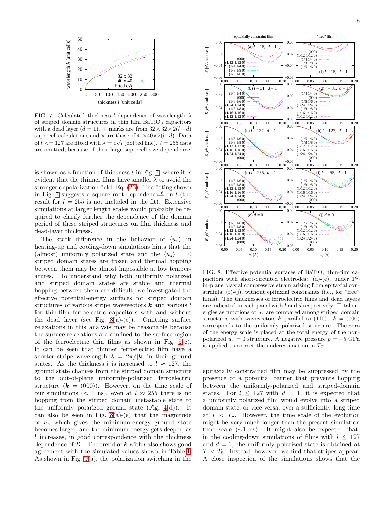

<span id="page-7-0"></span>FIG. 7: Calculated thickness l dependence of wavelength  $\lambda$ of striped domain structures in thin film BaTiO<sub>3</sub> capacitors with a dead layer  $(d = 1)$ . + marks are from  $32 \times 32 \times 2(l+d)$ supercell calculations and  $\times$  are those of  $40\times40\times2(l+d)$ . Data of  $l \leq 127$  are fitted with  $\lambda = c\sqrt{l}$  (dotted line).  $l = 255$  data are omitted, because of their large supercell-size dependence.

is shown as a function of thickness  $l$  in Fig. [7,](#page-7-0) where it is evident that the thinner films have smaller  $\lambda$  to avoid the stronger depolarization field, Eq. [\(26\)](#page-4-3). The fitting shown in Fig. [7](#page-7-0) suggests a square-root dependence<sup>[16](#page-9-16)</sup> on l (the result for  $l = 255$  is not included in the fit). Extensive simulations at larger length scales would probably be required to clarify further the dependence of the domain period of these striped structures on film thickness and dead-layer thickness.

The stark difference in the behavior of  $\langle u_z \rangle$  in heating-up and cooling-down simulations hints that the (almost) uniformly polarized state and the  $\langle u_z \rangle = 0$ striped domain states are frozen and thermal hopping between them may be almost impossible at low temperatures. To understand why both uniformly polarized and striped domain states are stable and thermal hopping between them are difficult, we investigated the effective potential-energy surfaces for striped domain structures of various stripe wavevectors  $k$  and various l for thin-film ferroelectric capacitors with and without the dead layer (see Fig.  $8(a)-(e)$ ). Omitting surface relaxations in this analysis may be reasonable because the surface relaxations are confined to the surface region of the ferroelectric thin films as shown in Fig.  $5(c)$ . It can be seen that thinner ferroelectric film have a shorter stripe wavelength  $\lambda = 2\pi/|\mathbf{k}|$  in their ground states. As the thickness l is increased to  $l \approx 127$ , the ground state changes from the striped domain structure to the out-of-plane uniformly-polarized ferroelectric structure  $(k = (000))$ . However, on the time scale of our simulations ( $\approx 1$  ns), even at  $l \approx 255$  there is no hopping from the striped domain metastable state to the uniformly polarized ground state (Fig.  $4(d)$ ). It can also be seen in Fig.  $8(a)-(e)$  that the magnitude of  $u<sub>z</sub>$  which gives the minimum-energy ground state becomes larger, and the minimum energy gets deeper, as l increases, in good correspondence with the thickness dependence of  $T_{\text{C}}$ . The trend of **k** with l also shows good agreement with the simulated values shown in Table [I.](#page-6-2) As shown in Fig. [9\(](#page-8-1)a), the polarization switching in the



<span id="page-7-1"></span>FIG. 8: Effective potential surfaces of BaTiO<sub>3</sub> thin-film capacitors with short-circuited electrodes: (a)-(e), under 1% in-plane biaxial compressive strain arising from epitaxial constraints; (f)-(j), without epitaxial constraints (i.e., for "free" films). The thicknesses of ferroelectric films and dead layers are indicated in each panel with  $l$  and  $d$  respectively. Total energies as functions of  $u<sub>z</sub>$  are compared among striped domain structures with wavevectors **k** parallel to (110).  $k = (000)$ corresponds to the uniformly polarized structure. The zero of the energy scale is placed at the total energy of the nonpolarized  $u_z = 0$  structure. A negative pressure  $p = -5$  GPa is applied to correct the underestimation in  $T_{\rm C}$ .

epitaxially constrained film may be suppressed by the presence of a potential barrier that prevents hopping between the uniformly-polarized and striped-domain states. For  $l \leq 127$  with  $d = 1$ , it is expected that a uniformly polarized film would evolve into a striped domain state, or vice versa, over a sufficiently long time at  $T < T_{\rm S}$ . However, the time scale of the evolution might be very much longer than the present simulation time scale  $(\sim 1 \text{ ns})$ . It might also be expected that, in the cooling-down simulations of films with  $l \leq 127$ and  $d = 1$ , the uniformly polarized state is obtained at  $T < T_{\rm S}$ . Instead, however, we find that stripes appear. A close inspection of the simulations shows that the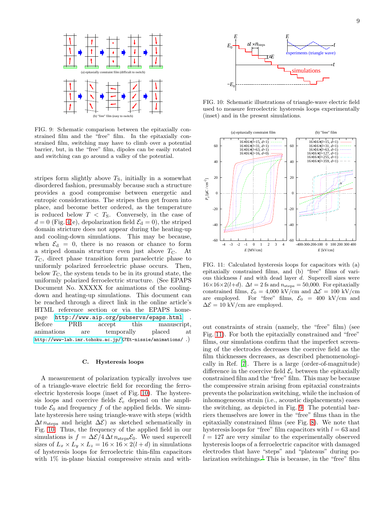

<span id="page-8-1"></span>FIG. 9: Schematic comparison between the epitaxially constrained film and the "free" film. In the epitaxially constrained film, switching may have to climb over a potential barrier, but, in the "free" film, dipoles can be easily rotated and switching can go around a valley of the potential.

stripes form slightly above  $T<sub>S</sub>$ , initially in a somewhat disordered fashion, presumably because such a structure provides a good compromise between energetic and entropic considerations. The stripes then get frozen into place, and become better ordered, as the temperature is reduced below  $T < T<sub>S</sub>$ . Conversely, in the case of  $d = 0$  (Fig. [4\(](#page-5-2)e), depolarization field  $\mathcal{E}_d = 0$ ), the striped domain stricture does not appear during the heating-up and cooling-down simulations. This may be because, when  $\mathcal{E}_{d} = 0$ , there is no reason or chance to form a striped domain structure even just above  $T_{\rm C}$ . At  $T_{\rm C}$ , direct phase transition form paraelectric phase to uniformly polarized ferroelectric phase occurs. Then, below  $T_{\rm C}$ , the system tends to be in its ground state, the uniformly polarized ferroelectric structure. (See EPAPS Document No. XXXXX for animations of the coolingdown and heating-up simulations. This document can be reached through a direct link in the online article's HTML reference section or via the EPAPS homepage <http://www.aip.org/pubservs/epaps.html> . Before PRB accept this manuscript, animations are temporally placed at [http://www-lab.imr.tohoku.ac.jp/%](http://www-lab.imr.tohoku.ac.jp/)7Et-nissie/animations/ .)

#### <span id="page-8-0"></span>C. Hysteresis loops

A measurement of polarization typically involves use of a triangle-wave electric field for recording the ferroelectric hysteresis loops (inset of Fig. [10\)](#page-8-2). The hysteresis loops and coercive fields  $\mathcal{E}_c$  depend on the amplitude  $\mathcal{E}_0$  and frequency f of the applied fields. We simulate hysteresis here using triangle-wave with steps (width  $\Delta t$  n<sub>steps</sub> and height  $\Delta \mathcal{E}$ ) as sketched schematically in Fig. [10.](#page-8-2) Thus, the frequency of the applied field in our simulations is  $f = \Delta \mathcal{E} / 4 \Delta t \, n_{\text{steps}} \mathcal{E}_0$ . We used supercell sizes of  $L_x \times L_y \times L_z = 16 \times 16 \times 2(l+d)$  in simulations of hysteresis loops for ferroelectric thin-film capacitors with  $1\%$  in-plane biaxial compressive strain and with-



<span id="page-8-2"></span>FIG. 10: Schematic illustrations of triangle-wave electric field used to measure ferroelectric hysteresis loops experimentally (inset) and in the present simulations.



<span id="page-8-3"></span>FIG. 11: Calculated hysteresis loops for capacitors with (a) epitaxially constrained films, and (b) "free" films of various thickness  $l$  and with dead layer  $d$ . Supercell sizes were  $16\times16\times2(l+d)$ .  $\Delta t = 2$  fs and  $n_{\text{steps}} = 50,000$ . For epitaxially constrained films,  $\mathcal{E}_0 = 4,000 \text{ kV/cm}$  and  $\Delta \mathcal{E} = 100 \text{ kV/cm}$ are employed. For "free" films,  $\mathcal{E}_0 = 400 \text{ kV/cm}$  and  $\Delta \mathcal{E} = 10 \text{ kV/cm}$  are employed.

out constraints of strain (namely, the "free" film) (see Fig. [11\)](#page-8-3). For both the epitaxially constrained and "free" films, our simulations confirm that the imperfect screening of the electrodes decreases the coercive field as the film thicknesses decreases, as described phenomenologically in Ref. [\[7\]](#page-9-6). There is a large (order-of-magnitude) difference in the coercive field  $\mathcal{E}_{c}$  between the epitaxially constrained film and the "free" film. This may be because the compressive strain arising from epitaxial constraints prevents the polarization switching, while the inclusion of inhomogeneous strain (i.e., acoustic displacements) eases the switching, as depicted in Fig. [9.](#page-8-1) The potential barriers themselves are lower in the "free" films than in the epitaxially constrained films (see Fig. [8\)](#page-7-1). We note that hysteresis loops for "free" film capacitors with  $l = 63$  and  $l = 127$  are very similar to the experimentally observed hysteresis loops of a ferroelectric capacitor with damaged electrodes that have "steps" and "plateaus" during polarization switchings.[1](#page-9-0) This is because, in the "free" film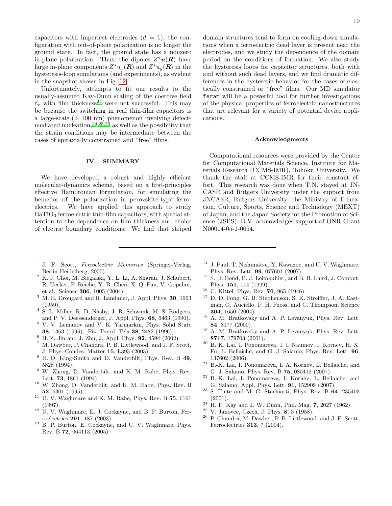capacitors with imperfect electrodes  $(d = 1)$ , the configuration with out-of-plane polarization is no longer the ground state. In fact, the ground state has a nonzero in-plane polarization. Thus, the dipoles  $Z^*u(R)$  have large in-plane components  $Z^*u_x(\mathbf{R})$  and  $Z^*u_y(\mathbf{R})$  in the hysteresis-loop simulations (and experiments), as evident in the snapshot shown in Fig. [12.](#page-10-0)

Unfortunately, attempts to fit our results to the usually-assumed Kay-Dunn scaling of the coercive field  $\mathcal{E}_{\rm c}$  with film thickne[s](#page-9-24)s<sup>24</sup> were not successful. This may be because the switching in real thin-film capacitors is a large-scale (> 100 nm) phenomenon involving defectmediated nucleation,  $24,25,26$  $24,25,26$  $24,25,26$  as well as the possibility that the strain conditions may be intermediate between the cases of epitaxially constrained and "free" films.

### <span id="page-9-14"></span>IV. SUMMARY

We have developed a robust and highly efficient molecular-dynamics scheme, based on a first-principles effective Hamiltonian formulation, for simulating the behavior of the polarization in perovskite-type ferroelectrics. We have applied this approach to study  $BaTiO<sub>3</sub>$  ferroelectric thin-film capacitors, with special attention to the dependence on film thickness and choice of electric boundary conditions. We find that striped domain structures tend to form on cooling-down simulations when a ferroelectric dead layer is present near the electrodes, and we study the dependence of the domain period on the conditions of formation. We also study the hysteresis loops for capacitor structures, both with and without such dead layers, and we find dramatic differences in the hysteretic behavior for the cases of elastically constrained or "free" films. Our MD simulator feram will be a powerful tool for further investigations of the physical properties of ferroelectric nanostructures that are relevant for a variety of potential device applications.

#### Acknowledgments

Computational resources were provided by the Center for Computational Materials Science, Institute for Materials Research (CCMS-IMR), Tohoku University. We thank the staff at CCMS-IMR for their constant effort. This research was done when T.N. stayed at JN-CASR and Rutgers University under the support from JNCASR, Rutgers University, the Ministry of Education, Culture, Sports, Science and Technology (MEXT) of Japan, and the Japan Society for the Promotion of Science (JSPS). D.V. acknowledges support of ONR Grant N00014-05-1-0054.

- <span id="page-9-0"></span><sup>1</sup> J. F. Scott, Ferroelectric Memories (Springer-Verlag, Berlin Heidelberg, 2000).
- <span id="page-9-1"></span><sup>2</sup> K. J. Choi, M. Biegalski, Y. L. Li, A. Sharan, J. Schubert, R. Uecker, P. Reiche, Y. B. Chen, X. Q. Pan, V. Gopalan, et al., Science 306, 1005 (2004).
- <span id="page-9-2"></span><sup>3</sup> M. E. Drougard and R. Landauer, J. Appl. Phys. 30, 1663 (1959).
- <span id="page-9-3"></span>4 S. L. Miller, R. D. Nasby, J. R. Schwank, M. S. Rodgers, and P. V. Deessendorger, J. Appl. Phys. 68, 6463 (1990).
- <span id="page-9-4"></span><sup>5</sup> V. V. Lemanov and V. K. Yarmarkin, Phys. Solid State 38, 1363 (1996), [Fiz. Tverd. Tela 38, 2482 (1996)].
- <span id="page-9-5"></span><sup>6</sup> H. Z. Jin and J. Zhu, J. Appl. Phys. 92, 4594 (2002).
- <span id="page-9-6"></span><sup>7</sup> M. Dawber, P. Chandra, P. B. Littlewood, and J. F. Scott, J. Phys.-Condes. Matter 15, L393 (2003).
- <span id="page-9-7"></span><sup>8</sup> R. D. King-Smith and D. Vanderbilt, Phys. Rev. B 49, 5828 (1994).
- <span id="page-9-8"></span><sup>9</sup> W. Zhong, D. Vanderbilt, and K. M. Rabe, Phys. Rev. Lett. 73, 1861 (1994).
- <span id="page-9-9"></span><sup>10</sup> W. Zhong, D. Vanderbilt, and K. M. Rabe, Phys. Rev. B 52, 6301 (1995).
- <span id="page-9-10"></span> $11$  U. V. Waghmare and K. M. Rabe, Phys. Rev. B 55, 6161 (1997).
- <span id="page-9-11"></span><sup>12</sup> U. V. Waghmare, E. J. Cockayne, and B. P. Burton, Ferroelectrics 291, 187 (2003).
- <span id="page-9-12"></span><sup>13</sup> B. P. Burton, E. Cockayne, and U. V. Waghmare, Phys. Rev. B 72, 064113 (2005).
- <span id="page-9-13"></span><sup>14</sup> J. Paul, T. Nishimatsu, Y. Kawazoe, and U. V. Waghmare, Phys. Rev. Lett. 99, 077601 (2007).
- <span id="page-9-15"></span><sup>15</sup> S. D. Bond, B. J. Leimkuhler, and B. B. Laird, J. Comput. Phys. 151, 114 (1999).
- <span id="page-9-16"></span><sup>16</sup> C. Kittel, Phys. Rev. 70, 965 (1946).
- <span id="page-9-17"></span><sup>17</sup> D. D. Fong, G. B. Stephenson, S. K. Streiffer, J. A. Eastman, O. Auciello, P. H. Fuoss, and C. Thompson, Science 304, 1650 (2004).
- <span id="page-9-18"></span><sup>18</sup> A. M. Bratkovsky and A. P. Levanyuk, Phys. Rev. Lett. 84, 3177 (2000).
- <span id="page-9-19"></span><sup>19</sup> A. M. Bratkovsky and A. P. Levanyuk, Phys. Rev. Lett. 8717, 179703 (2001).
- <span id="page-9-20"></span><sup>20</sup> B. K. Lai, I. Ponomareva, I. I. Naumov, I. Kornev, H. X. Fu, L. Bellaiche, and G. J. Salamo, Phys. Rev. Lett. 96, 137602 (2006).
- <span id="page-9-21"></span><sup>21</sup> B.-K. Lai, I. Ponomareva, I. A. Kornev, L. Bellaiche, and G. J. Salamo, Phys. Rev. B 75, 085412 (2007).
- <span id="page-9-22"></span>B.-K. Lai, I. Ponomareva, I. Kornev, L. Bellaiche, and G. Salamo, Appl. Phys. Lett. 91, 152909 (2007).
- <span id="page-9-23"></span><sup>23</sup> S. Tinte and M. G. Stachiotti, Phys. Rev. B 64, 235403 (2001).
- <span id="page-9-24"></span> $^{24}$  H. F. Kav and J. W. Dunn, Phil. Mag. 7, 2027 (1962).
- <span id="page-9-25"></span> $25$  V. Janovec, Czech. J. Phys. 8, 3 (1958).
- <span id="page-9-26"></span><sup>26</sup> P. Chandra, M. Dawber, P. B. Littlewood, and J. F. Scott, Ferroelectrics 313, 7 (2004).